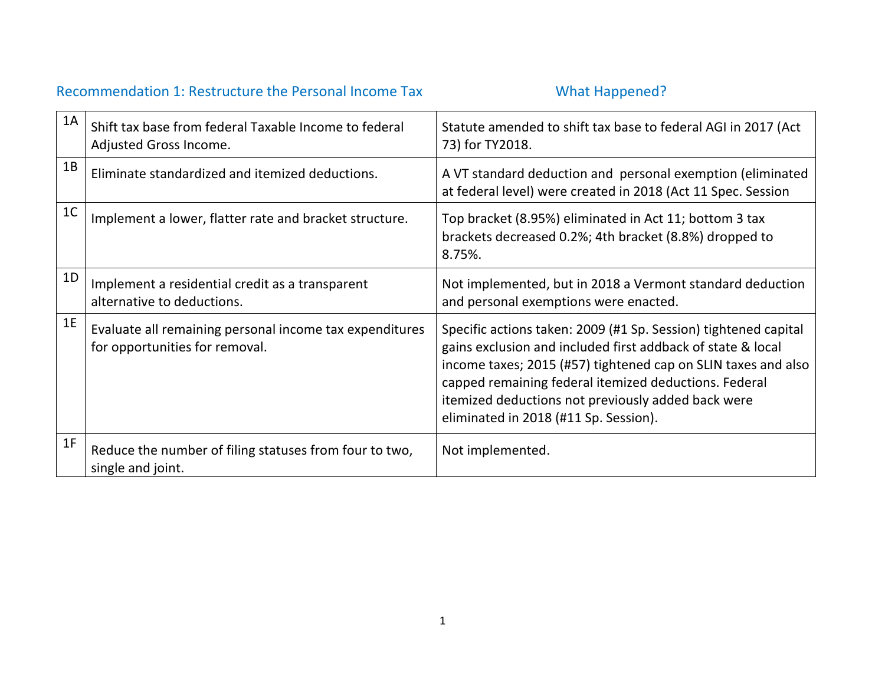## Recommendation 1: Restructure the Personal Income Tax What Happened?

| 1A             | Shift tax base from federal Taxable Income to federal<br>Adjusted Gross Income.           | Statute amended to shift tax base to federal AGI in 2017 (Act<br>73) for TY2018.                                                                                                                                                                                                                                                                        |
|----------------|-------------------------------------------------------------------------------------------|---------------------------------------------------------------------------------------------------------------------------------------------------------------------------------------------------------------------------------------------------------------------------------------------------------------------------------------------------------|
| 1B             | Eliminate standardized and itemized deductions.                                           | A VT standard deduction and personal exemption (eliminated<br>at federal level) were created in 2018 (Act 11 Spec. Session                                                                                                                                                                                                                              |
| 1 <sup>C</sup> | Implement a lower, flatter rate and bracket structure.                                    | Top bracket (8.95%) eliminated in Act 11; bottom 3 tax<br>brackets decreased 0.2%; 4th bracket (8.8%) dropped to<br>8.75%.                                                                                                                                                                                                                              |
| 1D             | Implement a residential credit as a transparent<br>alternative to deductions.             | Not implemented, but in 2018 a Vermont standard deduction<br>and personal exemptions were enacted.                                                                                                                                                                                                                                                      |
| 1E             | Evaluate all remaining personal income tax expenditures<br>for opportunities for removal. | Specific actions taken: 2009 (#1 Sp. Session) tightened capital<br>gains exclusion and included first addback of state & local<br>income taxes; 2015 (#57) tightened cap on SLIN taxes and also<br>capped remaining federal itemized deductions. Federal<br>itemized deductions not previously added back were<br>eliminated in 2018 (#11 Sp. Session). |
| 1F             | Reduce the number of filing statuses from four to two,<br>single and joint.               | Not implemented.                                                                                                                                                                                                                                                                                                                                        |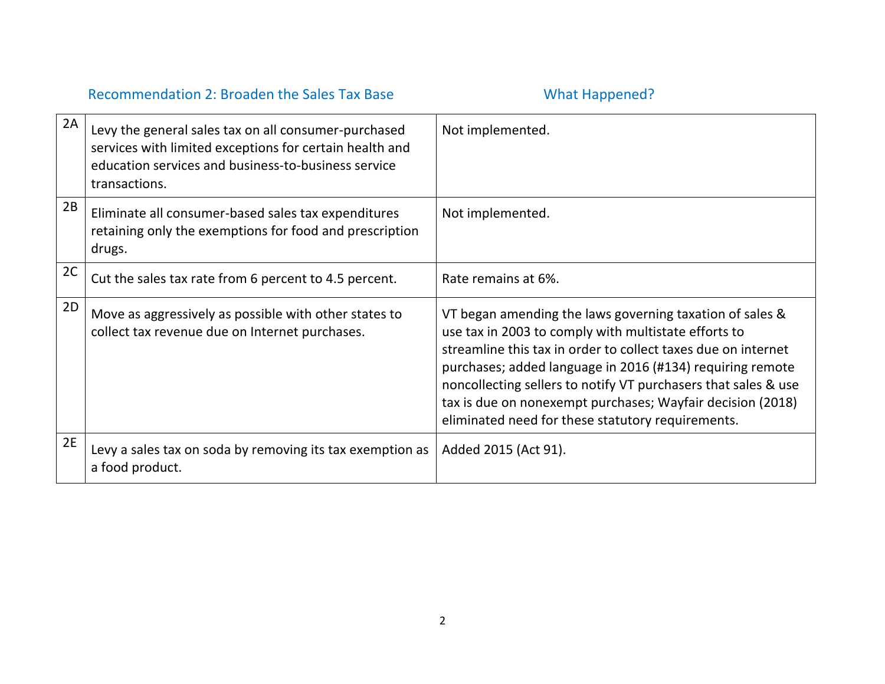## Recommendation 2: Broaden the Sales Tax Base What Happened?

| 2A | Levy the general sales tax on all consumer-purchased<br>services with limited exceptions for certain health and<br>education services and business-to-business service<br>transactions. | Not implemented.                                                                                                                                                                                                                                                                                                                                                                                                                    |
|----|-----------------------------------------------------------------------------------------------------------------------------------------------------------------------------------------|-------------------------------------------------------------------------------------------------------------------------------------------------------------------------------------------------------------------------------------------------------------------------------------------------------------------------------------------------------------------------------------------------------------------------------------|
| 2B | Eliminate all consumer-based sales tax expenditures<br>retaining only the exemptions for food and prescription<br>drugs.                                                                | Not implemented.                                                                                                                                                                                                                                                                                                                                                                                                                    |
| 2C | Cut the sales tax rate from 6 percent to 4.5 percent.                                                                                                                                   | Rate remains at 6%.                                                                                                                                                                                                                                                                                                                                                                                                                 |
| 2D | Move as aggressively as possible with other states to<br>collect tax revenue due on Internet purchases.                                                                                 | VT began amending the laws governing taxation of sales &<br>use tax in 2003 to comply with multistate efforts to<br>streamline this tax in order to collect taxes due on internet<br>purchases; added language in 2016 (#134) requiring remote<br>noncollecting sellers to notify VT purchasers that sales & use<br>tax is due on nonexempt purchases; Wayfair decision (2018)<br>eliminated need for these statutory requirements. |
| 2E | Levy a sales tax on soda by removing its tax exemption as<br>a food product.                                                                                                            | Added 2015 (Act 91).                                                                                                                                                                                                                                                                                                                                                                                                                |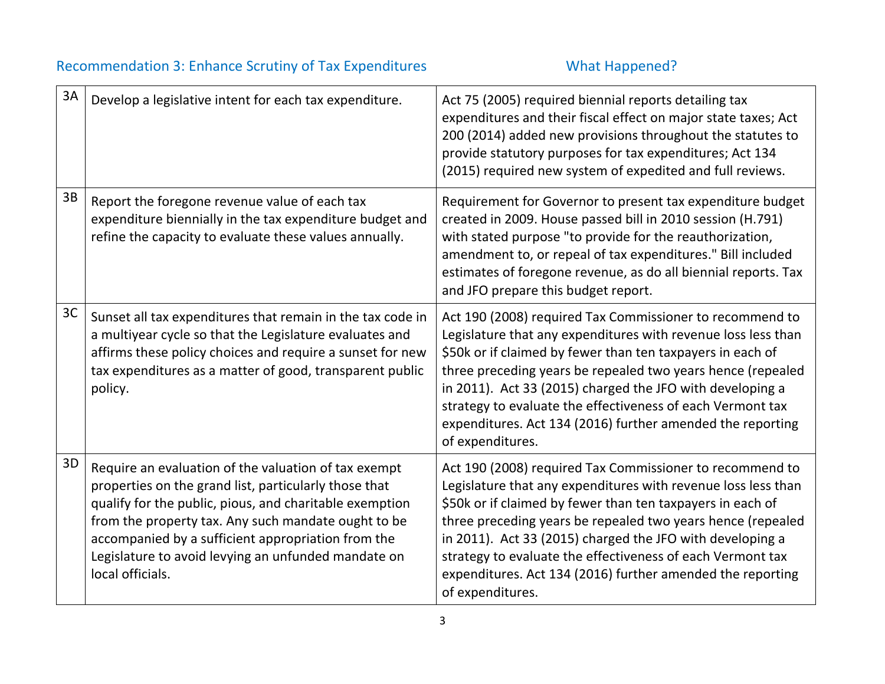## Recommendation 3: Enhance Scrutiny of Tax Expenditures **What Happened?**

| 3A | Develop a legislative intent for each tax expenditure.                                                                                                                                                                                                                                                                                                           | Act 75 (2005) required biennial reports detailing tax<br>expenditures and their fiscal effect on major state taxes; Act<br>200 (2014) added new provisions throughout the statutes to<br>provide statutory purposes for tax expenditures; Act 134<br>(2015) required new system of expedited and full reviews.                                                                                                                                                      |
|----|------------------------------------------------------------------------------------------------------------------------------------------------------------------------------------------------------------------------------------------------------------------------------------------------------------------------------------------------------------------|---------------------------------------------------------------------------------------------------------------------------------------------------------------------------------------------------------------------------------------------------------------------------------------------------------------------------------------------------------------------------------------------------------------------------------------------------------------------|
| 3B | Report the foregone revenue value of each tax<br>expenditure biennially in the tax expenditure budget and<br>refine the capacity to evaluate these values annually.                                                                                                                                                                                              | Requirement for Governor to present tax expenditure budget<br>created in 2009. House passed bill in 2010 session (H.791)<br>with stated purpose "to provide for the reauthorization,<br>amendment to, or repeal of tax expenditures." Bill included<br>estimates of foregone revenue, as do all biennial reports. Tax<br>and JFO prepare this budget report.                                                                                                        |
| 3C | Sunset all tax expenditures that remain in the tax code in<br>a multiyear cycle so that the Legislature evaluates and<br>affirms these policy choices and require a sunset for new<br>tax expenditures as a matter of good, transparent public<br>policy.                                                                                                        | Act 190 (2008) required Tax Commissioner to recommend to<br>Legislature that any expenditures with revenue loss less than<br>\$50k or if claimed by fewer than ten taxpayers in each of<br>three preceding years be repealed two years hence (repealed<br>in 2011). Act 33 (2015) charged the JFO with developing a<br>strategy to evaluate the effectiveness of each Vermont tax<br>expenditures. Act 134 (2016) further amended the reporting<br>of expenditures. |
| 3D | Require an evaluation of the valuation of tax exempt<br>properties on the grand list, particularly those that<br>qualify for the public, pious, and charitable exemption<br>from the property tax. Any such mandate ought to be<br>accompanied by a sufficient appropriation from the<br>Legislature to avoid levying an unfunded mandate on<br>local officials. | Act 190 (2008) required Tax Commissioner to recommend to<br>Legislature that any expenditures with revenue loss less than<br>\$50k or if claimed by fewer than ten taxpayers in each of<br>three preceding years be repealed two years hence (repealed<br>in 2011). Act 33 (2015) charged the JFO with developing a<br>strategy to evaluate the effectiveness of each Vermont tax<br>expenditures. Act 134 (2016) further amended the reporting<br>of expenditures. |